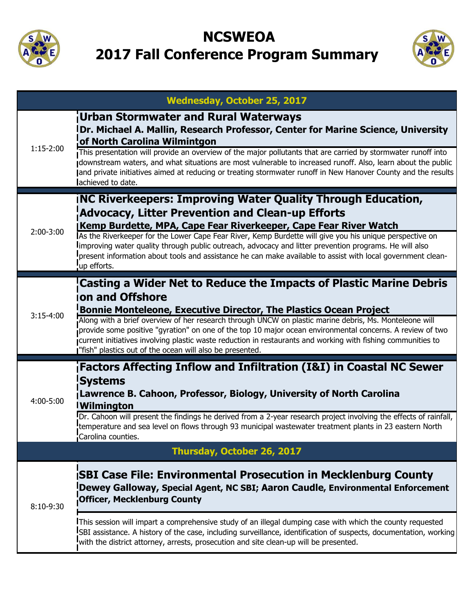

## **NCSWEOA 2017 Fall Conference Program Summary**



|             | <b>Wednesday, October 25, 2017</b>                                                                                                                                                                                                                                                                                                                                                              |  |  |
|-------------|-------------------------------------------------------------------------------------------------------------------------------------------------------------------------------------------------------------------------------------------------------------------------------------------------------------------------------------------------------------------------------------------------|--|--|
| $1:15-2:00$ | Urban Stormwater and Rural Waterways<br>IDr. Michael A. Mallin, Research Professor, Center for Marine Science, University<br>of North Carolina Wilmintgon                                                                                                                                                                                                                                       |  |  |
|             | This presentation will provide an overview of the major pollutants that are carried by stormwater runoff into<br>downstream waters, and what situations are most vulnerable to increased runoff. Also, learn about the public<br>and private initiatives aimed at reducing or treating stormwater runoff in New Hanover County and the results<br>achieved to date.                             |  |  |
| $2:00-3:00$ | <b>INC Riverkeepers: Improving Water Quality Through Education,</b><br><b>Advocacy, Litter Prevention and Clean-up Efforts</b><br>Kemp Burdette, MPA, Cape Fear Riverkeeper, Cape Fear River Watch                                                                                                                                                                                              |  |  |
|             | As the Riverkeeper for the Lower Cape Fear River, Kemp Burdette will give you his unique perspective on<br>Improving water quality through public outreach, advocacy and litter prevention programs. He will also<br>present information about tools and assistance he can make available to assist with local government clean-<br>up efforts.                                                 |  |  |
|             | Casting a Wider Net to Reduce the Impacts of Plastic Marine Debris<br>ion and Offshore                                                                                                                                                                                                                                                                                                          |  |  |
| $3:15-4:00$ | Bonnie Monteleone, Executive Director, The Plastics Ocean Project                                                                                                                                                                                                                                                                                                                               |  |  |
|             | Along with a brief overview of her research through UNCW on plastic marine debris, Ms. Monteleone will<br>provide some positive "gyration" on one of the top 10 major ocean environmental concerns. A review of two<br>current initiatives involving plastic waste reduction in restaurants and working with fishing communities to<br>"fish" plastics out of the ocean will also be presented. |  |  |
|             | <b>Factors Affecting Inflow and Infiltration (I&amp;I) in Coastal NC Sewer</b>                                                                                                                                                                                                                                                                                                                  |  |  |
| 4:00-5:00   | <b>Systems</b><br>Lawrence B. Cahoon, Professor, Biology, University of North Carolina<br><b>IWilmington</b>                                                                                                                                                                                                                                                                                    |  |  |
|             | Dr. Cahoon will present the findings he derived from a 2-year research project involving the effects of rainfall,<br>temperature and sea level on flows through 93 municipal wastewater treatment plants in 23 eastern North<br>Carolina counties.                                                                                                                                              |  |  |
|             | Thursday, October 26, 2017                                                                                                                                                                                                                                                                                                                                                                      |  |  |
| 8:10-9:30   | <b>ISBI Case File: Environmental Prosecution in Mecklenburg County</b><br>Dewey Galloway, Special Agent, NC SBI; Aaron Caudle, Environmental Enforcement<br><b>Officer, Mecklenburg County</b>                                                                                                                                                                                                  |  |  |
|             | This session will impart a comprehensive study of an illegal dumping case with which the county requested<br>SBI assistance. A history of the case, including surveillance, identification of suspects, documentation, working<br>with the district attorney, arrests, prosecution and site clean-up will be presented.                                                                         |  |  |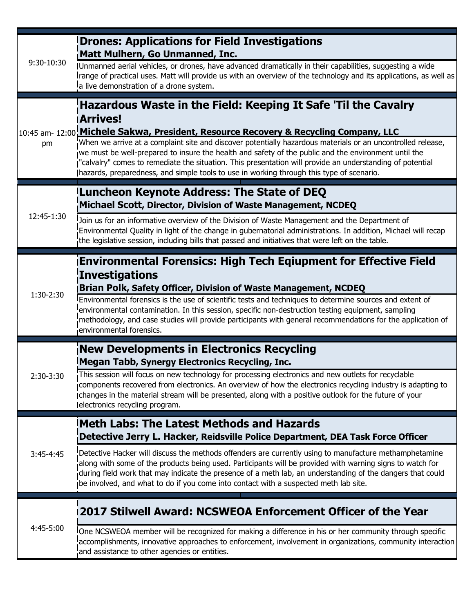| 9:30-10:30  | <b>Drones: Applications for Field Investigations</b><br>Matt Mulhern, Go Unmanned, Inc.                                                                                                                                                                                                                                                                                                                                                                                                                                                                                                                    |
|-------------|------------------------------------------------------------------------------------------------------------------------------------------------------------------------------------------------------------------------------------------------------------------------------------------------------------------------------------------------------------------------------------------------------------------------------------------------------------------------------------------------------------------------------------------------------------------------------------------------------------|
|             | Unmanned aerial vehicles, or drones, have advanced dramatically in their capabilities, suggesting a wide<br>Irange of practical uses. Matt will provide us with an overview of the technology and its applications, as well as<br>a live demonstration of a drone system.                                                                                                                                                                                                                                                                                                                                  |
| pm          | Hazardous Waste in the Field: Keeping It Safe 'Til the Cavalry<br><b>Arrives!</b><br>10:45 am- 12:00 Michele Sakwa, President, Resource Recovery & Recycling Company, LLC<br>When we arrive at a complaint site and discover potentially hazardous materials or an uncontrolled release,<br>we must be well-prepared to insure the health and safety of the public and the environment until the<br>"calvalry" comes to remediate the situation. This presentation will provide an understanding of potential<br>Ihazards, preparedness, and simple tools to use in working through this type of scenario. |
| 12:45-1:30  | Luncheon Keynote Address: The State of DEQ<br>Michael Scott, Director, Division of Waste Management, NCDEQ                                                                                                                                                                                                                                                                                                                                                                                                                                                                                                 |
|             | Join us for an informative overview of the Division of Waste Management and the Department of<br>Environmental Quality in light of the change in gubernatorial administrations. In addition, Michael will recap<br>the legislative session, including bills that passed and initiatives that were left on the table.                                                                                                                                                                                                                                                                                       |
| 1:30-2:30   | <b>Environmental Forensics: High Tech Eqiupment for Effective Field</b><br>Investigations<br><b>Brian Polk, Safety Officer, Division of Waste Management, NCDEQ</b><br>Environmental forensics is the use of scientific tests and techniques to determine sources and extent of<br>environmental contamination. In this session, specific non-destruction testing equipment, sampling<br>methodology, and case studies will provide participants with general recommendations for the application of<br>environmental forensics.                                                                           |
| 2:30-3:30   | New Developments in Electronics Recycling<br>Megan Tabb, Synergy Electronics Recycling, Inc.<br>This session will focus on new technology for processing electronics and new outlets for recyclable<br>components recovered from electronics. An overview of how the electronics recycling industry is adapting to<br>Ichanges in the material stream will be presented, along with a positive outlook for the future of your<br>electronics recycling program.                                                                                                                                            |
| $3:45-4:45$ | <b>IMeth Labs: The Latest Methods and Hazards</b><br>Detective Jerry L. Hacker, Reidsville Police Department, DEA Task Force Officer                                                                                                                                                                                                                                                                                                                                                                                                                                                                       |
|             | Detective Hacker will discuss the methods offenders are currently using to manufacture methamphetamine<br>along with some of the products being used. Participants will be provided with warning signs to watch for<br>during field work that may indicate the presence of a meth lab, an understanding of the dangers that could<br>be involved, and what to do if you come into contact with a suspected meth lab site.                                                                                                                                                                                  |
| 4:45-5:00   | 2017 Stilwell Award: NCSWEOA Enforcement Officer of the Year                                                                                                                                                                                                                                                                                                                                                                                                                                                                                                                                               |
|             | One NCSWEOA member will be recognized for making a difference in his or her community through specific<br>accomplishments, innovative approaches to enforcement, involvement in organizations, community interaction<br>and assistance to other agencies or entities.                                                                                                                                                                                                                                                                                                                                      |